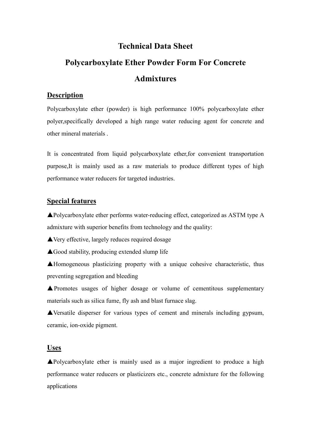# **Technical Data Sheet**

# **Polycarboxylate Ether Powder Form For Concrete Admixtures**

#### **Description**

Polycarboxylate ether (powder) is high performance 100% polycarboxylate ether polyer,specifically developed a high range water reducing agent for concrete and other mineral materials .

It is concentrated from liquid polycarboxylate ether,for convenient transportation purpose,It is mainly used as a raw materials to produce different types of high performance water reducers for targeted industries.

#### **Special features**

▲Polycarboxylate ether performs water-reducing effect, categorized as ASTM type A admixture with superior benefits from technology and the quality:

**▲Very effective, largely reduces required dosage** 

▲Good stability, producing extended slump life

▲Homogeneous plasticizing property with a unique cohesive characteristic, thus preventing segregation and bleeding

▲Promotes usages of higher dosage or volume of cementitous supplementary materials such as silica fume, fly ash and blast furnace slag.

▲Versatile disperser for various types of cement and minerals including gypsum, ceramic, ion-oxide pigment.

#### **Uses**

▲Polycarboxylate ether is mainly used as a major ingredient to produce a high performance water reducers or plasticizers etc., concrete admixture for the following applications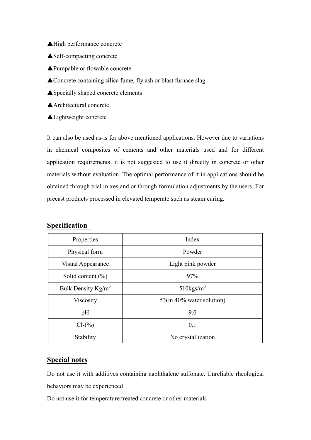- ▲High performance concrete
- ▲Self-compacting concrete
- ▲Pumpable or flowable concrete
- ▲Concrete containing silica fume, fly ash or blast furnace slag
- ▲Specially shaped concrete elements

▲Architectural concrete

▲Lightweight concrete

It can also be used as-is for above mentioned applications. However due to variations in chemical composites of cements and other materials used and for different application requirements, it is not suggested to use it directly in concrete or other materials without evaluation. The optimal performance of it in applications should be obtained through trial mixes and or through formulation adjustments by the users. For precast products processed in elevated temperate such as steam curing.

## **Specification**

| Properties            | Index                     |
|-----------------------|---------------------------|
| Physical form         | Powder                    |
| Visual Appearance     | Light pink powder         |
| Solid content $(\% )$ | 97%                       |
| Bulk Density $Kg/m^3$ | $510$ kgs/m <sup>3</sup>  |
| Viscosity             | 53(in 40% water solution) |
| pH                    | 9.0                       |
| $Cl-(\%)$             | 0.1                       |
| Stability             | No crystallization        |

### **Special notes**

Do not use it with additives containing naphthalene sulfonate. Unreliable rheological behaviors may be experienced

Do not use it for temperature treated concrete or other materials